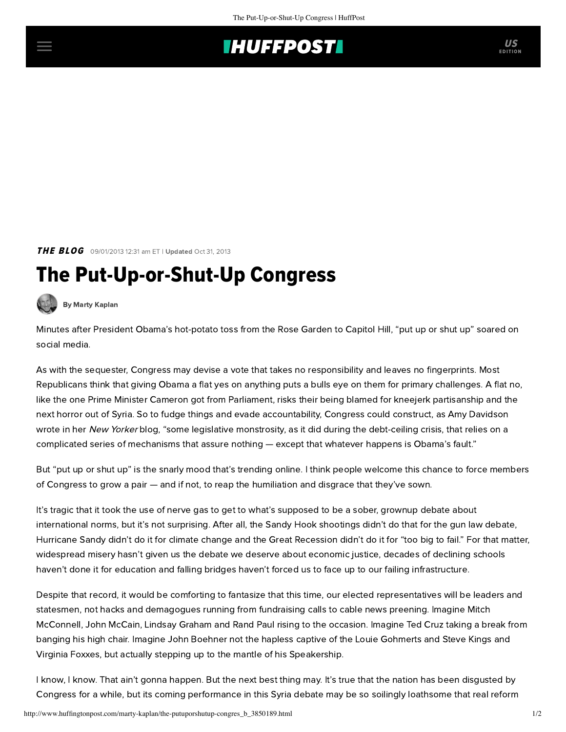## **THUFFPOSTI** US

**THE BLOG** 09/01/2013 12:31 am ET | Updated Oct 31, 2013

## The Put-Up-or-Shut-Up Congress



[By Marty Kaplan](http://www.huffingtonpost.com/author/marty-kaplan)

Minutes after President Obama's hot-potato toss from the Rose Garden to Capitol Hill, "put up or shut up" soared on social media.

As with the sequester, Congress may devise a vote that takes no responsibility and leaves no fingerprints. Most Republicans think that giving Obama a flat yes on anything puts a bulls eye on them for primary challenges. A flat no, like the one Prime Minister Cameron got from Parliament, risks their being blamed for kneejerk partisanship and the next horror out of Syria. So to fudge things and evade accountability, Congress could construct, as Amy Davidson [wrote](http://www.newyorker.com/online/blogs/closeread/2013/08/going-to-congress-obamas-best-syria-decision.html?utm_source=dlvr.it&utm_medium=twitter) in her New Yorker blog, "some legislative monstrosity, as it did during the debt-ceiling crisis, that relies on a complicated series of mechanisms that assure nothing — except that whatever happens is Obama's fault."

But "put up or shut up" is the snarly mood that's trending online. I think people welcome this chance to force members of Congress to grow a pair — and if not, to reap the humiliation and disgrace that they've sown.

It's tragic that it took the use of nerve gas to get to what's supposed to be a sober, grownup debate about international norms, but it's not surprising. After all, the Sandy Hook shootings didn't do that for the gun law debate, Hurricane Sandy didn't do it for climate change and the Great Recession didn't do it for "too big to fail." For that matter, widespread misery hasn't given us the debate we deserve about economic justice, decades of declining schools haven't done it for education and falling bridges haven't forced us to face up to our failing infrastructure.

Despite that record, it would be comforting to fantasize that this time, our elected representatives will be leaders and statesmen, not hacks and demagogues running from fundraising calls to cable news preening. Imagine Mitch McConnell, John McCain, Lindsay Graham and Rand Paul rising to the occasion. Imagine Ted Cruz taking a break from banging his high chair. Imagine John Boehner not the hapless captive of the Louie Gohmerts and Steve Kings and Virginia Foxxes, but actually stepping up to the mantle of his Speakership.

I know, I know. That ain't gonna happen. But the next best thing may. It's true that the nation has been disgusted by Congress for a while, but its coming performance in this Syria debate may be so soilingly loathsome that real reform